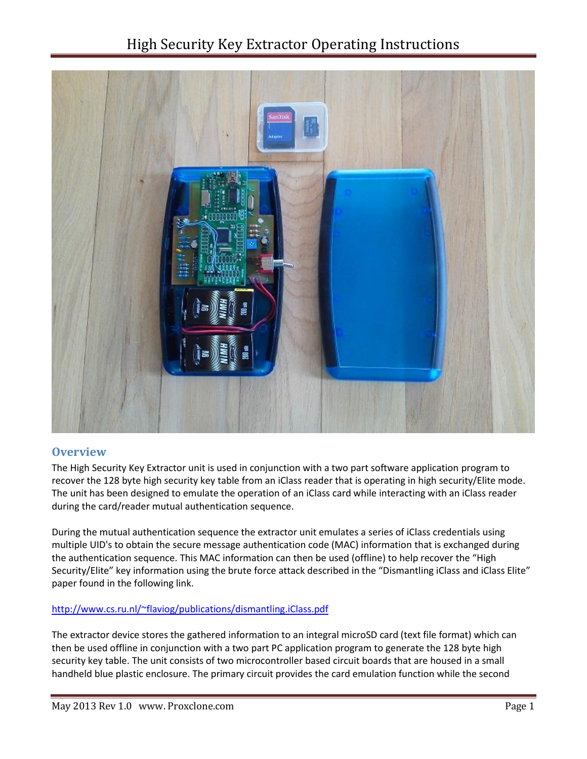# High Security Key Extractor Operating Instructions



### **Overview**

The High Security Key Extractor unit is used in conjunction with a two part software application program to recover the 128 byte high security key table from an iClass reader that is operating in high security/Elite mode. The unit has been designed to emulate the operation of an iClass card while interacting with an iClass reader during the card/reader mutual authentication sequence.

During the mutual authentication sequence the extractor unit emulates a series of iClass credentials using multiple UID's to obtain the secure message authentication code (MAC) information that is exchanged during the authentication sequence. This MAC information can then be used (offline) to help recover the "High Security/Elite" key information using the brute force attack described in the "Dismantling iClass and iClass Elite" paper found in the following link.

#### <http://www.cs.ru.nl/~flaviog/publications/dismantling.iClass.pdf>

The extractor device stores the gathered information to an integral microSD card (text file format) which can then be used offline in conjunction with a two part PC application program to generate the 128 byte high security key table. The unit consists of two microcontroller based circuit boards that are housed in a small handheld blue plastic enclosure. The primary circuit provides the card emulation function while the second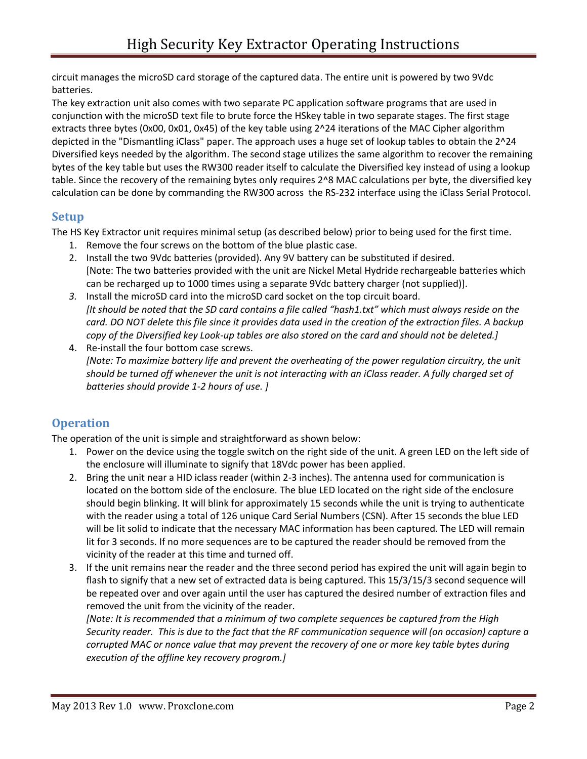circuit manages the microSD card storage of the captured data. The entire unit is powered by two 9Vdc batteries.

The key extraction unit also comes with two separate PC application software programs that are used in conjunction with the microSD text file to brute force the HSkey table in two separate stages. The first stage extracts three bytes (0x00, 0x01, 0x45) of the key table using 2^24 iterations of the MAC Cipher algorithm depicted in the "Dismantling iClass" paper. The approach uses a huge set of lookup tables to obtain the 2^24 Diversified keys needed by the algorithm. The second stage utilizes the same algorithm to recover the remaining bytes of the key table but uses the RW300 reader itself to calculate the Diversified key instead of using a lookup table. Since the recovery of the remaining bytes only requires 2^8 MAC calculations per byte, the diversified key calculation can be done by commanding the RW300 across the RS-232 interface using the iClass Serial Protocol.

### **Setup**

The HS Key Extractor unit requires minimal setup (as described below) prior to being used for the first time.

- 1. Remove the four screws on the bottom of the blue plastic case.
- 2. Install the two 9Vdc batteries (provided). Any 9V battery can be substituted if desired. [Note: The two batteries provided with the unit are Nickel Metal Hydride rechargeable batteries which can be recharged up to 1000 times using a separate 9Vdc battery charger (not supplied)].
- *3.* Install the microSD card into the microSD card socket on the top circuit board. *[It should be noted that the SD card contains a file called "hash1.txt" which must always reside on the card. DO NOT delete this file since it provides data used in the creation of the extraction files. A backup copy of the Diversified key Look-up tables are also stored on the card and should not be deleted.]*
- 4. Re-install the four bottom case screws. *[Note: To maximize battery life and prevent the overheating of the power regulation circuitry, the unit should be turned off whenever the unit is not interacting with an iClass reader. A fully charged set of batteries should provide 1-2 hours of use. ]*

## **Operation**

The operation of the unit is simple and straightforward as shown below:

- 1. Power on the device using the toggle switch on the right side of the unit. A green LED on the left side of the enclosure will illuminate to signify that 18Vdc power has been applied.
- 2. Bring the unit near a HID iclass reader (within 2-3 inches). The antenna used for communication is located on the bottom side of the enclosure. The blue LED located on the right side of the enclosure should begin blinking. It will blink for approximately 15 seconds while the unit is trying to authenticate with the reader using a total of 126 unique Card Serial Numbers (CSN). After 15 seconds the blue LED will be lit solid to indicate that the necessary MAC information has been captured. The LED will remain lit for 3 seconds. If no more sequences are to be captured the reader should be removed from the vicinity of the reader at this time and turned off.
- 3. If the unit remains near the reader and the three second period has expired the unit will again begin to flash to signify that a new set of extracted data is being captured. This 15/3/15/3 second sequence will be repeated over and over again until the user has captured the desired number of extraction files and removed the unit from the vicinity of the reader.

*[Note: It is recommended that a minimum of two complete sequences be captured from the High Security reader. This is due to the fact that the RF communication sequence will (on occasion) capture a corrupted MAC or nonce value that may prevent the recovery of one or more key table bytes during execution of the offline key recovery program.]*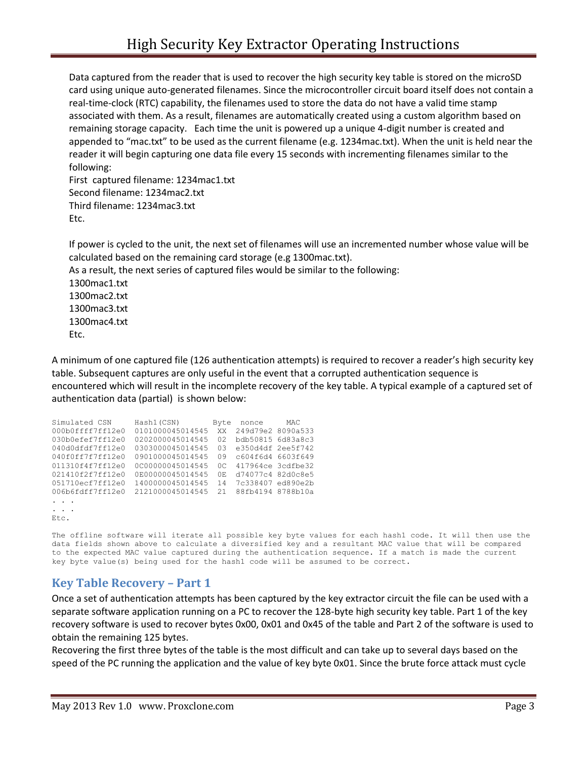Data captured from the reader that is used to recover the high security key table is stored on the microSD card using unique auto-generated filenames. Since the microcontroller circuit board itself does not contain a real-time-clock (RTC) capability, the filenames used to store the data do not have a valid time stamp associated with them. As a result, filenames are automatically created using a custom algorithm based on remaining storage capacity. Each time the unit is powered up a unique 4-digit number is created and appended to "mac.txt" to be used as the current filename (e.g. 1234mac.txt). When the unit is held near the reader it will begin capturing one data file every 15 seconds with incrementing filenames similar to the following:

First captured filename: 1234mac1.txt Second filename: 1234mac2.txt Third filename: 1234mac3.txt Etc.

If power is cycled to the unit, the next set of filenames will use an incremented number whose value will be calculated based on the remaining card storage (e.g 1300mac.txt). As a result, the next series of captured files would be similar to the following:

1300mac1.txt 1300mac2.txt 1300mac3.txt 1300mac4.txt Etc.

A minimum of one captured file (126 authentication attempts) is required to recover a reader's high security key table. Subsequent captures are only useful in the event that a corrupted authentication sequence is encountered which will result in the incomplete recovery of the key table. A typical example of a captured set of authentication data (partial) is shown below:

```
Simulated CSN Hash1(CSN) Byte nonce MAC
000b0ffff7ff12e0 0101000045014545 XX 249d79e2 8090a533
030b0efef7ff12e0 0202000045014545 02 bdb50815 6d83a8c3
040d0dfdf7ff12e0 0303000045014545 03 e350d4df 2ee5f742
040f0ff7f7ff12e0 0901000045014545 09 c604f6d4 6603f649
011310f4f7ff12e0 0C00000045014545 0C 417964ce 3cdfbe32
021410f2f7ff12e0 0E00000045014545 0E d74077c4 82d0c8e5
051710ecf7ff12e0 1400000045014545 14 7c338407 ed890e2b
006b6fdff7ff12e0 2121000045014545 21 88fb4194 8788b10a
\cdot .
. . . 
Etc.
```
The offline software will iterate all possible key byte values for each hash1 code. It will then use the data fields shown above to calculate a diversified key and a resultant MAC value that will be compared to the expected MAC value captured during the authentication sequence. If a match is made the current key byte value(s) being used for the hash1 code will be assumed to be correct.

### **Key Table Recovery – Part 1**

Once a set of authentication attempts has been captured by the key extractor circuit the file can be used with a separate software application running on a PC to recover the 128-byte high security key table. Part 1 of the key recovery software is used to recover bytes 0x00, 0x01 and 0x45 of the table and Part 2 of the software is used to obtain the remaining 125 bytes.

Recovering the first three bytes of the table is the most difficult and can take up to several days based on the speed of the PC running the application and the value of key byte 0x01. Since the brute force attack must cycle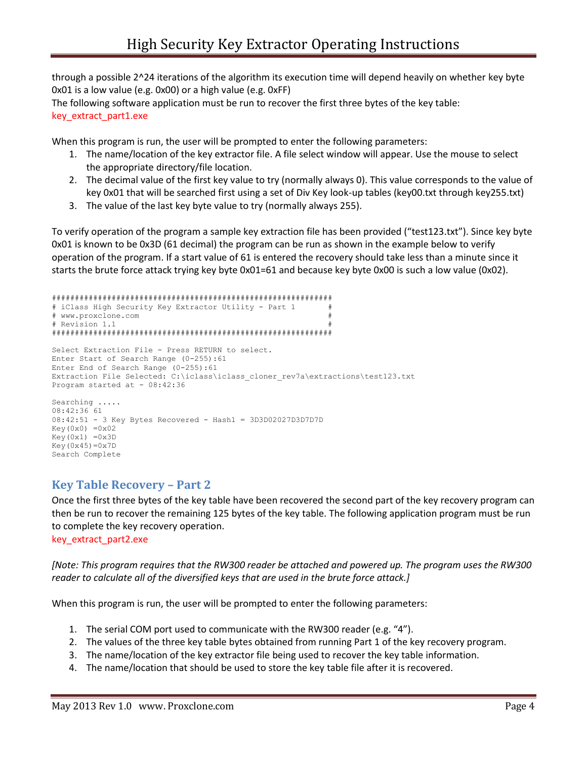through a possible 2^24 iterations of the algorithm its execution time will depend heavily on whether key byte 0x01 is a low value (e.g. 0x00) or a high value (e.g. 0xFF)

The following software application must be run to recover the first three bytes of the key table: key\_extract\_part1.exe

When this program is run, the user will be prompted to enter the following parameters:

- 1. The name/location of the key extractor file. A file select window will appear. Use the mouse to select the appropriate directory/file location.
- 2. The decimal value of the first key value to try (normally always 0). This value corresponds to the value of key 0x01 that will be searched first using a set of Div Key look-up tables (key00.txt through key255.txt)
- 3. The value of the last key byte value to try (normally always 255).

To verify operation of the program a sample key extraction file has been provided ("test123.txt"). Since key byte 0x01 is known to be 0x3D (61 decimal) the program can be run as shown in the example below to verify operation of the program. If a start value of 61 is entered the recovery should take less than a minute since it starts the brute force attack trying key byte 0x01=61 and because key byte 0x00 is such a low value (0x02).

```
#############################################################
# iClass High Security Key Extractor Utility - Part 1 #
# www.proxclone.com #
# Revision 1.1
#############################################################
Select Extraction File - Press RETURN to select.
Enter Start of Search Range (0-255):61
Enter End of Search Range (0-255):61
Extraction File Selected: C:\iclass\iclass_cloner_rev7a\extractions\test123.txt
Program started at - 08:42:36
Searching .....
08:42:36 61
08:42:51 - 3 Key Bytes Recovered - Hash1 = 3D3D02027D3D7D7D
Key(0x0) = 0x02Key(0x1) = 0x3DKey(0x45)=0x7DSearch Complete
```
### **Key Table Recovery – Part 2**

Once the first three bytes of the key table have been recovered the second part of the key recovery program can then be run to recover the remaining 125 bytes of the key table. The following application program must be run to complete the key recovery operation. key\_extract\_part2.exe

*[Note: This program requires that the RW300 reader be attached and powered up. The program uses the RW300* 

*reader to calculate all of the diversified keys that are used in the brute force attack.]*

When this program is run, the user will be prompted to enter the following parameters:

- 1. The serial COM port used to communicate with the RW300 reader (e.g. "4").
- 2. The values of the three key table bytes obtained from running Part 1 of the key recovery program.
- 3. The name/location of the key extractor file being used to recover the key table information.
- 4. The name/location that should be used to store the key table file after it is recovered.